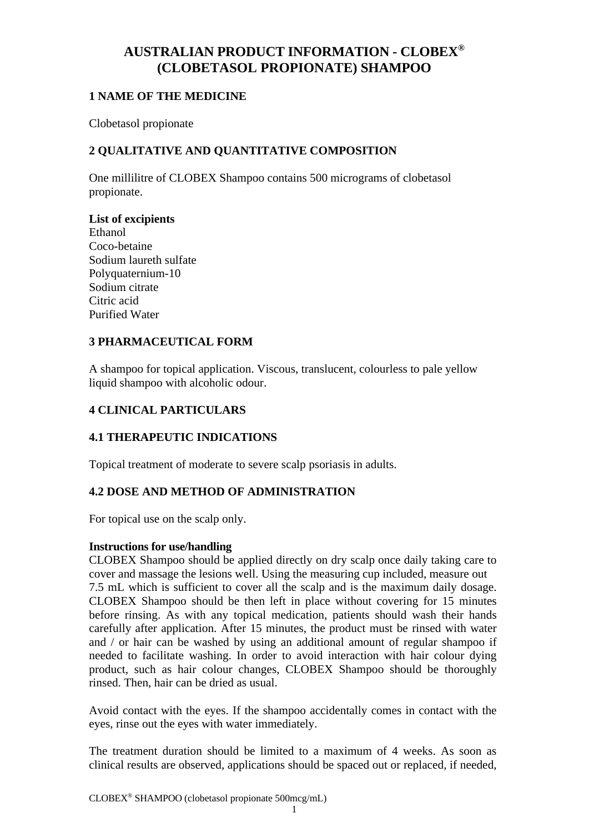# **AUSTRALIAN PRODUCT INFORMATION - CLOBEX® (CLOBETASOL PROPIONATE) SHAMPOO**

## **1 NAME OF THE MEDICINE**

Clobetasol propionate

## **2 QUALITATIVE AND QUANTITATIVE COMPOSITION**

One millilitre of CLOBEX Shampoo contains 500 micrograms of clobetasol propionate.

## **List of excipients**

Ethanol Coco-betaine Sodium laureth sulfate Polyquaternium-10 Sodium citrate Citric acid Purified Water

## **3 PHARMACEUTICAL FORM**

A shampoo for topical application. Viscous, translucent, colourless to pale yellow liquid shampoo with alcoholic odour.

## **4 CLINICAL PARTICULARS**

## **4.1 THERAPEUTIC INDICATIONS**

Topical treatment of moderate to severe scalp psoriasis in adults.

## **4.2 DOSE AND METHOD OF ADMINISTRATION**

For topical use on the scalp only.

### **Instructions for use/handling**

CLOBEX Shampoo should be applied directly on dry scalp once daily taking care to cover and massage the lesions well. Using the measuring cup included, measure out 7.5 mL which is sufficient to cover all the scalp and is the maximum daily dosage. CLOBEX Shampoo should be then left in place without covering for 15 minutes before rinsing. As with any topical medication, patients should wash their hands carefully after application. After 15 minutes, the product must be rinsed with water and / or hair can be washed by using an additional amount of regular shampoo if needed to facilitate washing. In order to avoid interaction with hair colour dying product, such as hair colour changes, CLOBEX Shampoo should be thoroughly rinsed. Then, hair can be dried as usual.

Avoid contact with the eyes. If the shampoo accidentally comes in contact with the eyes, rinse out the eyes with water immediately.

The treatment duration should be limited to a maximum of 4 weeks. As soon as clinical results are observed, applications should be spaced out or replaced, if needed,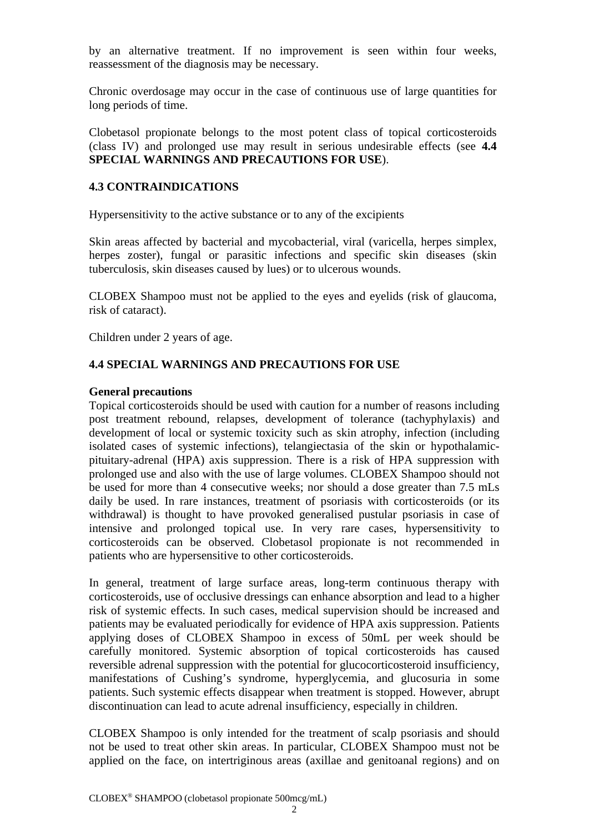by an alternative treatment. If no improvement is seen within four weeks, reassessment of the diagnosis may be necessary.

Chronic overdosage may occur in the case of continuous use of large quantities for long periods of time.

Clobetasol propionate belongs to the most potent class of topical corticosteroids (class IV) and prolonged use may result in serious undesirable effects (see **4.4 SPECIAL WARNINGS AND PRECAUTIONS FOR USE**).

#### **4.3 CONTRAINDICATIONS**

Hypersensitivity to the active substance or to any of the excipients

Skin areas affected by bacterial and mycobacterial, viral (varicella, herpes simplex, herpes zoster), fungal or parasitic infections and specific skin diseases (skin tuberculosis, skin diseases caused by lues) or to ulcerous wounds.

CLOBEX Shampoo must not be applied to the eyes and eyelids (risk of glaucoma, risk of cataract).

Children under 2 years of age.

### **4.4 SPECIAL WARNINGS AND PRECAUTIONS FOR USE**

#### **General precautions**

Topical corticosteroids should be used with caution for a number of reasons including post treatment rebound, relapses, development of tolerance (tachyphylaxis) and development of local or systemic toxicity such as skin atrophy, infection (including isolated cases of systemic infections), telangiectasia of the skin or hypothalamicpituitary-adrenal (HPA) axis suppression. There is a risk of HPA suppression with prolonged use and also with the use of large volumes. CLOBEX Shampoo should not be used for more than 4 consecutive weeks; nor should a dose greater than 7.5 mLs daily be used. In rare instances, treatment of psoriasis with corticosteroids (or its withdrawal) is thought to have provoked generalised pustular psoriasis in case of intensive and prolonged topical use. In very rare cases, hypersensitivity to corticosteroids can be observed. Clobetasol propionate is not recommended in patients who are hypersensitive to other corticosteroids.

In general, treatment of large surface areas, long-term continuous therapy with corticosteroids, use of occlusive dressings can enhance absorption and lead to a higher risk of systemic effects. In such cases, medical supervision should be increased and patients may be evaluated periodically for evidence of HPA axis suppression. Patients applying doses of CLOBEX Shampoo in excess of 50mL per week should be carefully monitored. Systemic absorption of topical corticosteroids has caused reversible adrenal suppression with the potential for glucocorticosteroid insufficiency, manifestations of Cushing's syndrome, hyperglycemia, and glucosuria in some patients. Such systemic effects disappear when treatment is stopped. However, abrupt discontinuation can lead to acute adrenal insufficiency, especially in children.

CLOBEX Shampoo is only intended for the treatment of scalp psoriasis and should not be used to treat other skin areas. In particular, CLOBEX Shampoo must not be applied on the face, on intertriginous areas (axillae and genitoanal regions) and on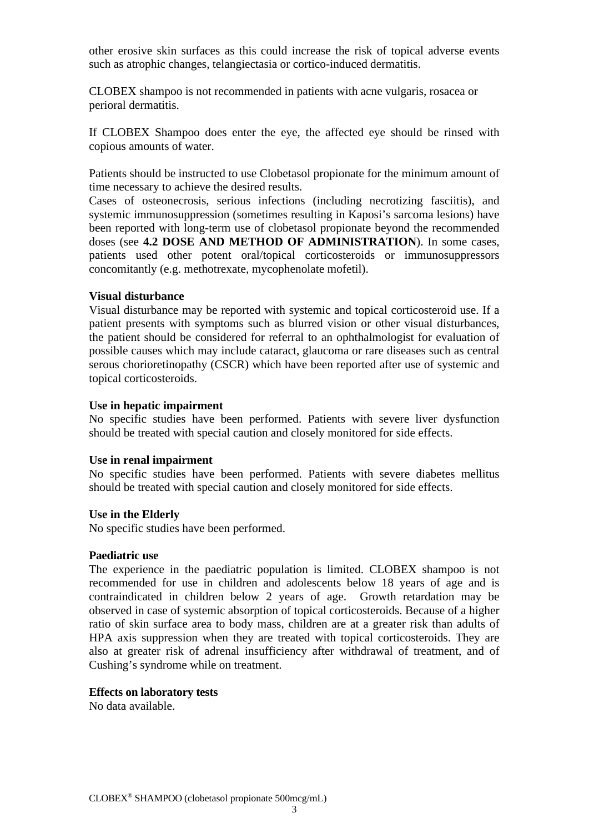other erosive skin surfaces as this could increase the risk of topical adverse events such as atrophic changes, telangiectasia or cortico-induced dermatitis.

CLOBEX shampoo is not recommended in patients with acne vulgaris, rosacea or perioral dermatitis.

If CLOBEX Shampoo does enter the eye, the affected eye should be rinsed with copious amounts of water.

Patients should be instructed to use Clobetasol propionate for the minimum amount of time necessary to achieve the desired results.

Cases of osteonecrosis, serious infections (including necrotizing fasciitis), and systemic immunosuppression (sometimes resulting in Kaposi's sarcoma lesions) have been reported with long-term use of clobetasol propionate beyond the recommended doses (see **4.2 DOSE AND METHOD OF ADMINISTRATION**). In some cases, patients used other potent oral/topical corticosteroids or immunosuppressors concomitantly (e.g. methotrexate, mycophenolate mofetil).

#### **Visual disturbance**

Visual disturbance may be reported with systemic and topical corticosteroid use. If a patient presents with symptoms such as blurred vision or other visual disturbances, the patient should be considered for referral to an ophthalmologist for evaluation of possible causes which may include cataract, glaucoma or rare diseases such as central serous chorioretinopathy (CSCR) which have been reported after use of systemic and topical corticosteroids.

#### **Use in hepatic impairment**

No specific studies have been performed. Patients with severe liver dysfunction should be treated with special caution and closely monitored for side effects.

#### **Use in renal impairment**

No specific studies have been performed. Patients with severe diabetes mellitus should be treated with special caution and closely monitored for side effects.

#### **Use in the Elderly**

No specific studies have been performed.

#### **Paediatric use**

The experience in the paediatric population is limited. CLOBEX shampoo is not recommended for use in children and adolescents below 18 years of age and is contraindicated in children below 2 years of age. Growth retardation may be observed in case of systemic absorption of topical corticosteroids. Because of a higher ratio of skin surface area to body mass, children are at a greater risk than adults of HPA axis suppression when they are treated with topical corticosteroids. They are also at greater risk of adrenal insufficiency after withdrawal of treatment, and of Cushing's syndrome while on treatment.

#### **Effects on laboratory tests**

No data available.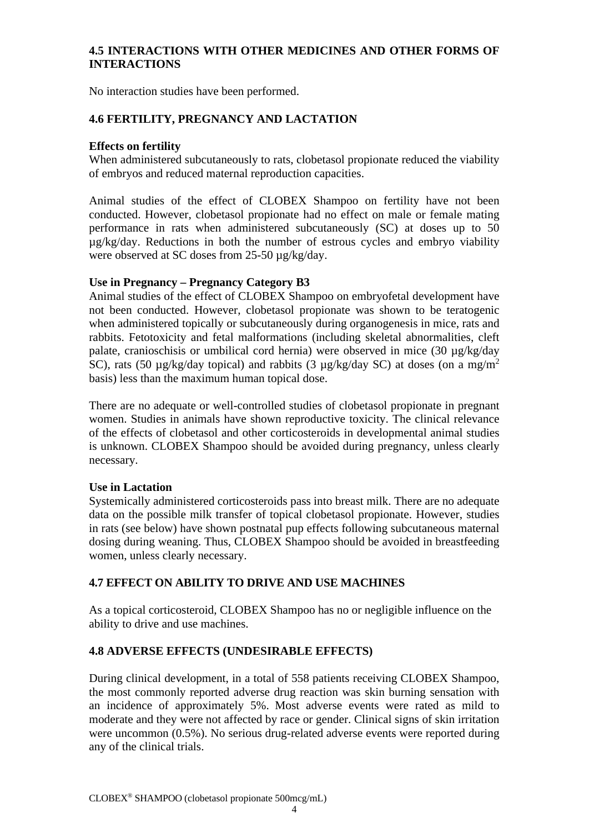## **4.5 INTERACTIONS WITH OTHER MEDICINES AND OTHER FORMS OF INTERACTIONS**

No interaction studies have been performed.

## **4.6 FERTILITY, PREGNANCY AND LACTATION**

### **Effects on fertility**

When administered subcutaneously to rats, clobetasol propionate reduced the viability of embryos and reduced maternal reproduction capacities.

Animal studies of the effect of CLOBEX Shampoo on fertility have not been conducted. However, clobetasol propionate had no effect on male or female mating performance in rats when administered subcutaneously (SC) at doses up to 50 µg/kg/day. Reductions in both the number of estrous cycles and embryo viability were observed at SC doses from 25-50  $\mu$ g/kg/day.

### **Use in Pregnancy – Pregnancy Category B3**

Animal studies of the effect of CLOBEX Shampoo on embryofetal development have not been conducted. However, clobetasol propionate was shown to be teratogenic when administered topically or subcutaneously during organogenesis in mice, rats and rabbits. Fetotoxicity and fetal malformations (including skeletal abnormalities, cleft palate, cranioschisis or umbilical cord hernia) were observed in mice (30 µg/kg/day SC), rats (50  $\mu$ g/kg/day topical) and rabbits (3  $\mu$ g/kg/day SC) at doses (on a mg/m<sup>2</sup> basis) less than the maximum human topical dose.

There are no adequate or well-controlled studies of clobetasol propionate in pregnant women. Studies in animals have shown reproductive toxicity. The clinical relevance of the effects of clobetasol and other corticosteroids in developmental animal studies is unknown. CLOBEX Shampoo should be avoided during pregnancy, unless clearly necessary.

## **Use in Lactation**

Systemically administered corticosteroids pass into breast milk. There are no adequate data on the possible milk transfer of topical clobetasol propionate. However, studies in rats (see below) have shown postnatal pup effects following subcutaneous maternal dosing during weaning. Thus, CLOBEX Shampoo should be avoided in breastfeeding women, unless clearly necessary.

## **4.7 EFFECT ON ABILITY TO DRIVE AND USE MACHINES**

As a topical corticosteroid, CLOBEX Shampoo has no or negligible influence on the ability to drive and use machines.

## **4.8 ADVERSE EFFECTS (UNDESIRABLE EFFECTS)**

During clinical development, in a total of 558 patients receiving CLOBEX Shampoo, the most commonly reported adverse drug reaction was skin burning sensation with an incidence of approximately 5%. Most adverse events were rated as mild to moderate and they were not affected by race or gender. Clinical signs of skin irritation were uncommon (0.5%). No serious drug-related adverse events were reported during any of the clinical trials.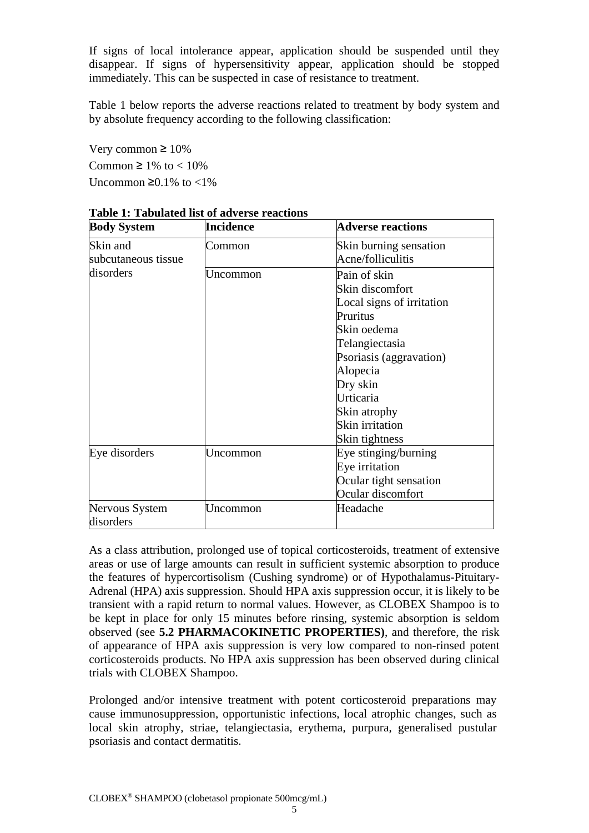If signs of local intolerance appear, application should be suspended until they disappear. If signs of hypersensitivity appear, application should be stopped immediately. This can be suspected in case of resistance to treatment.

Table 1 below reports the adverse reactions related to treatment by body system and by absolute frequency according to the following classification:

Very common  $\geq 10\%$ Common  $\geq 1\%$  to  $< 10\%$ Uncommon  $\geq 0.1\%$  to <1%

| <b>Body System</b>          | <b>Incidence</b> | <b>Adverse reactions</b>  |
|-----------------------------|------------------|---------------------------|
| Skin and                    | Common           | Skin burning sensation    |
| subcutaneous tissue         |                  | Acne/folliculitis         |
| disorders                   | Uncommon         | Pain of skin              |
|                             |                  | Skin discomfort           |
|                             |                  | Local signs of irritation |
|                             |                  | Pruritus                  |
|                             |                  | Skin oedema               |
|                             |                  | Telangiectasia            |
|                             |                  | Psoriasis (aggravation)   |
|                             |                  | Alopecia                  |
|                             |                  | Dry skin                  |
|                             |                  | Urticaria                 |
|                             |                  | Skin atrophy              |
|                             |                  | Skin irritation           |
|                             |                  | Skin tightness            |
| Eye disorders               | Uncommon         | Eye stinging/burning      |
|                             |                  | Eye irritation            |
|                             |                  | Ocular tight sensation    |
|                             |                  | Ocular discomfort         |
| Nervous System<br>disorders | Uncommon         | Headache                  |

**Table 1: Tabulated list of adverse reactions**

As a class attribution, prolonged use of topical corticosteroids, treatment of extensive areas or use of large amounts can result in sufficient systemic absorption to produce the features of hypercortisolism (Cushing syndrome) or of Hypothalamus-Pituitary-Adrenal (HPA) axis suppression. Should HPA axis suppression occur, it is likely to be transient with a rapid return to normal values. However, as CLOBEX Shampoo is to be kept in place for only 15 minutes before rinsing, systemic absorption is seldom observed (see **5.2 PHARMACOKINETIC PROPERTIES)**, and therefore, the risk of appearance of HPA axis suppression is very low compared to non-rinsed potent corticosteroids products. No HPA axis suppression has been observed during clinical trials with CLOBEX Shampoo.

Prolonged and/or intensive treatment with potent corticosteroid preparations may cause immunosuppression, opportunistic infections, local atrophic changes, such as local skin atrophy, striae, telangiectasia, erythema, purpura, generalised pustular psoriasis and contact dermatitis.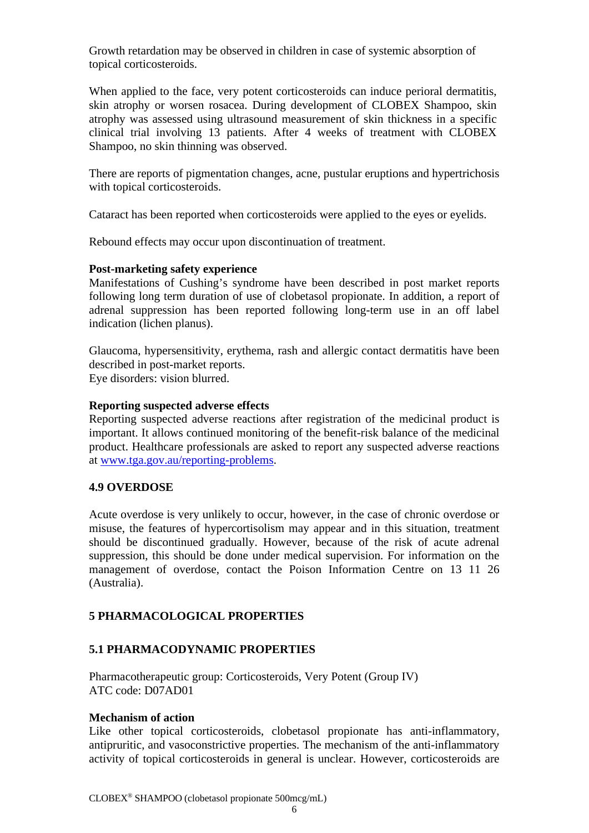Growth retardation may be observed in children in case of systemic absorption of topical corticosteroids.

When applied to the face, very potent corticosteroids can induce perioral dermatitis, skin atrophy or worsen rosacea. During development of CLOBEX Shampoo, skin atrophy was assessed using ultrasound measurement of skin thickness in a specific clinical trial involving 13 patients. After 4 weeks of treatment with CLOBEX Shampoo, no skin thinning was observed.

There are reports of pigmentation changes, acne, pustular eruptions and hypertrichosis with topical corticosteroids.

Cataract has been reported when corticosteroids were applied to the eyes or eyelids.

Rebound effects may occur upon discontinuation of treatment.

#### **Post-marketing safety experience**

Manifestations of Cushing's syndrome have been described in post market reports following long term duration of use of clobetasol propionate. In addition, a report of adrenal suppression has been reported following long-term use in an off label indication (lichen planus).

Glaucoma, hypersensitivity, erythema, rash and allergic contact dermatitis have been described in post-market reports. Eye disorders: vision blurred.

#### **Reporting suspected adverse effects**

Reporting suspected adverse reactions after registration of the medicinal product is important. It allows continued monitoring of the benefit-risk balance of the medicinal product. Healthcare professionals are asked to report any suspected adverse reactions at [www.tga.gov.au/reporting-problems.](http://www.tga.gov.au/reporting-problems)

### **4.9 OVERDOSE**

Acute overdose is very unlikely to occur, however, in the case of chronic overdose or misuse, the features of hypercortisolism may appear and in this situation, treatment should be discontinued gradually. However, because of the risk of acute adrenal suppression, this should be done under medical supervision. For information on the management of overdose, contact the Poison Information Centre on 13 11 26 (Australia).

### **5 PHARMACOLOGICAL PROPERTIES**

### **5.1 PHARMACODYNAMIC PROPERTIES**

Pharmacotherapeutic group: Corticosteroids, Very Potent (Group IV) ATC code: D07AD01

#### **Mechanism of action**

Like other topical corticosteroids, clobetasol propionate has anti-inflammatory, antipruritic, and vasoconstrictive properties. The mechanism of the anti-inflammatory activity of topical corticosteroids in general is unclear. However, corticosteroids are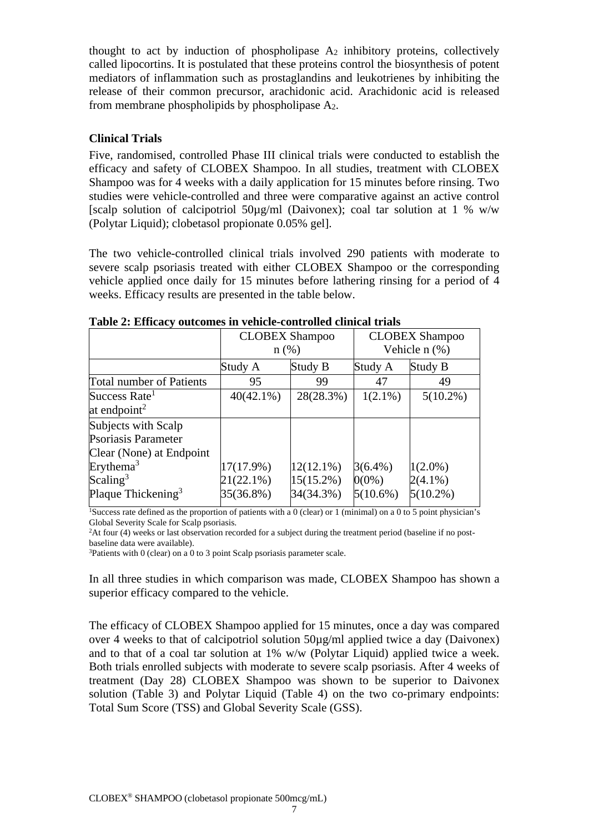thought to act by induction of phospholipase  $A_2$  inhibitory proteins, collectively called lipocortins. It is postulated that these proteins control the biosynthesis of potent mediators of inflammation such as prostaglandins and leukotrienes by inhibiting the release of their common precursor, arachidonic acid. Arachidonic acid is released from membrane phospholipids by phospholipase A2.

### **Clinical Trials**

Five, randomised, controlled Phase III clinical trials were conducted to establish the efficacy and safety of CLOBEX Shampoo. In all studies, treatment with CLOBEX Shampoo was for 4 weeks with a daily application for 15 minutes before rinsing. Two studies were vehicle-controlled and three were comparative against an active control [scalp solution of calcipotriol 50µg/ml (Daivonex); coal tar solution at 1 % w/w (Polytar Liquid); clobetasol propionate 0.05% gel].

The two vehicle-controlled clinical trials involved 290 patients with moderate to severe scalp psoriasis treated with either CLOBEX Shampoo or the corresponding vehicle applied once daily for 15 minutes before lathering rinsing for a period of 4 weeks. Efficacy results are presented in the table below.

|                                 | <b>CLOBEX Shampoo</b> |              | <b>CLOBEX Shampoo</b> |             |
|---------------------------------|-----------------------|--------------|-----------------------|-------------|
|                                 | $n$ (%)               |              | Vehicle $n$ (%)       |             |
|                                 | Study A               | Study B      | Study A               | Study B     |
| <b>Total number of Patients</b> | 95                    | 99           | 47                    | 49          |
| Success Rate <sup>1</sup>       | $40(42.1\%)$          | 28(28.3%)    | $1(2.1\%)$            | $5(10.2\%)$ |
| at endpoint <sup>2</sup>        |                       |              |                       |             |
| Subjects with Scalp             |                       |              |                       |             |
| Psoriasis Parameter             |                       |              |                       |             |
| Clear (None) at Endpoint        |                       |              |                       |             |
| Erythema <sup>3</sup>           | 17(17.9%)             | $12(12.1\%)$ | $3(6.4\%)$            | $1(2.0\%)$  |
| Scaling <sup>3</sup>            | 21(22.1%)             | $15(15.2\%)$ | $0(0\%)$              | $2(4.1\%)$  |
| Plaque Thickening <sup>3</sup>  | 35(36.8%)             | 34(34.3%)    | $5(10.6\%)$           | $5(10.2\%)$ |

**Table 2: Efficacy outcomes in vehicle-controlled clinical trials**

<sup>1</sup>Success rate defined as the proportion of patients with a 0 (clear) or 1 (minimal) on a 0 to 5 point physician's Global Severity Scale for Scalp psoriasis.

2At four (4) weeks or last observation recorded for a subject during the treatment period (baseline if no postbaseline data were available).

 $3$ Patients with 0 (clear) on a 0 to 3 point Scalp psoriasis parameter scale.

In all three studies in which comparison was made, CLOBEX Shampoo has shown a superior efficacy compared to the vehicle.

The efficacy of CLOBEX Shampoo applied for 15 minutes, once a day was compared over 4 weeks to that of calcipotriol solution 50µg/ml applied twice a day (Daivonex) and to that of a coal tar solution at 1% w/w (Polytar Liquid) applied twice a week. Both trials enrolled subjects with moderate to severe scalp psoriasis. After 4 weeks of treatment (Day 28) CLOBEX Shampoo was shown to be superior to Daivonex solution (Table 3) and Polytar Liquid (Table 4) on the two co-primary endpoints: Total Sum Score (TSS) and Global Severity Scale (GSS).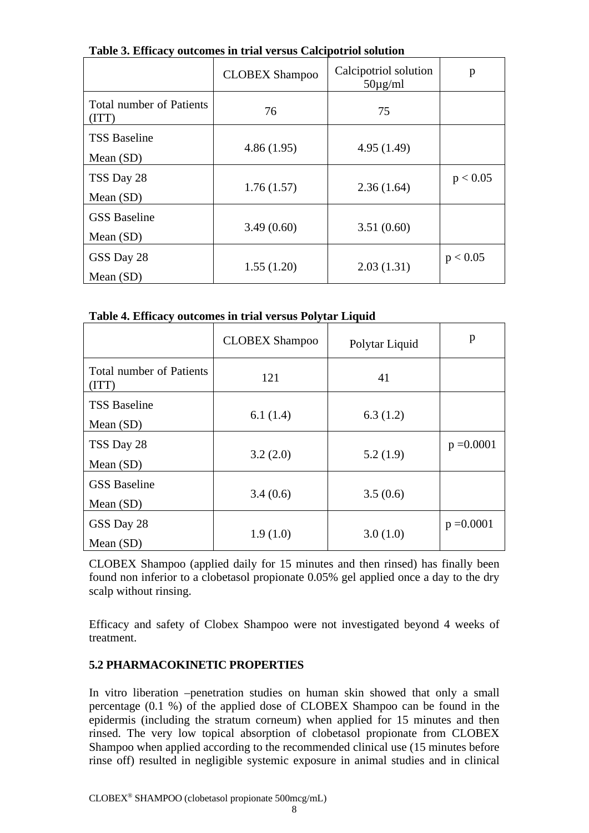|                                    | <b>CLOBEX Shampoo</b> | Calcipotriol solution<br>$50\mu\text{g/ml}$ | p        |
|------------------------------------|-----------------------|---------------------------------------------|----------|
| Total number of Patients<br>(TTT)  | 76                    | 75                                          |          |
| <b>TSS Baseline</b><br>Mean $(SD)$ | 4.86(1.95)            | 4.95(1.49)                                  |          |
| TSS Day 28<br>Mean $(SD)$          | 1.76(1.57)            | 2.36(1.64)                                  | p < 0.05 |
| <b>GSS</b> Baseline<br>Mean $(SD)$ | 3.49(0.60)            | 3.51(0.60)                                  |          |
| GSS Day 28<br>Mean $(SD)$          | 1.55(1.20)            | 2.03(1.31)                                  | p < 0.05 |

**Table 3. Efficacy outcomes in trial versus Calcipotriol solution**

**Table 4. Efficacy outcomes in trial versus Polytar Liquid**

|                                          | <b>CLOBEX Shampoo</b> | Polytar Liquid | p            |
|------------------------------------------|-----------------------|----------------|--------------|
| <b>Total number of Patients</b><br>(ITT) | 121                   | 41             |              |
| <b>TSS Baseline</b><br>Mean $(SD)$       | 6.1(1.4)              | 6.3(1.2)       |              |
| TSS Day 28<br>Mean $(SD)$                | 3.2(2.0)              | 5.2(1.9)       | $p = 0.0001$ |
| <b>GSS</b> Baseline<br>Mean $(SD)$       | 3.4(0.6)              | 3.5(0.6)       |              |
| GSS Day 28<br>Mean $(SD)$                | 1.9(1.0)              | 3.0(1.0)       | $p = 0.0001$ |

CLOBEX Shampoo (applied daily for 15 minutes and then rinsed) has finally been found non inferior to a clobetasol propionate 0.05% gel applied once a day to the dry scalp without rinsing.

Efficacy and safety of Clobex Shampoo were not investigated beyond 4 weeks of treatment.

# **5.2 PHARMACOKINETIC PROPERTIES**

In vitro liberation –penetration studies on human skin showed that only a small percentage (0.1 %) of the applied dose of CLOBEX Shampoo can be found in the epidermis (including the stratum corneum) when applied for 15 minutes and then rinsed. The very low topical absorption of clobetasol propionate from CLOBEX Shampoo when applied according to the recommended clinical use (15 minutes before rinse off) resulted in negligible systemic exposure in animal studies and in clinical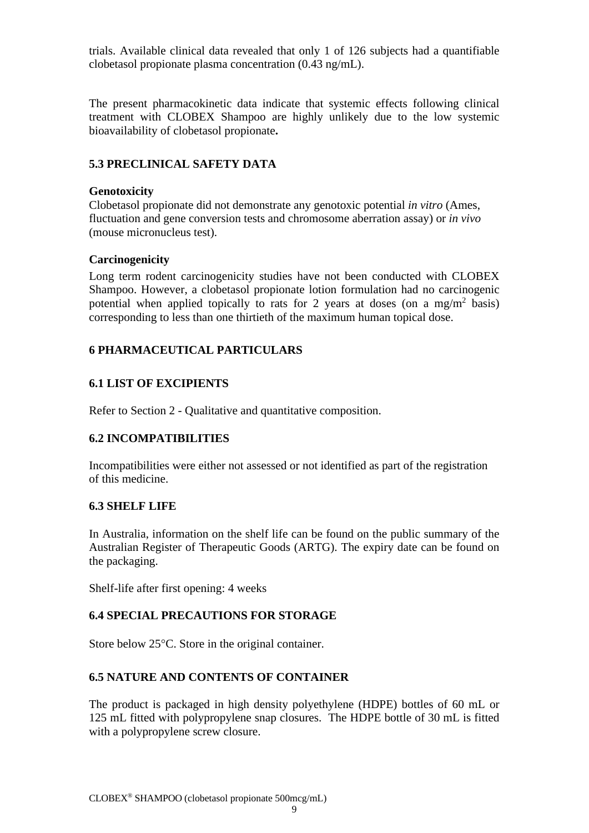trials. Available clinical data revealed that only 1 of 126 subjects had a quantifiable clobetasol propionate plasma concentration (0.43 ng/mL).

The present pharmacokinetic data indicate that systemic effects following clinical treatment with CLOBEX Shampoo are highly unlikely due to the low systemic bioavailability of clobetasol propionate**.**

## **5.3 PRECLINICAL SAFETY DATA**

### **Genotoxicity**

Clobetasol propionate did not demonstrate any genotoxic potential *in vitro* (Ames, fluctuation and gene conversion tests and chromosome aberration assay) or *in vivo* (mouse micronucleus test).

### **Carcinogenicity**

Long term rodent carcinogenicity studies have not been conducted with CLOBEX Shampoo. However, a clobetasol propionate lotion formulation had no carcinogenic potential when applied topically to rats for 2 years at doses (on a mg/m<sup>2</sup> basis) corresponding to less than one thirtieth of the maximum human topical dose.

## **6 PHARMACEUTICAL PARTICULARS**

## **6.1 LIST OF EXCIPIENTS**

Refer to Section 2 - Qualitative and quantitative composition.

## **6.2 INCOMPATIBILITIES**

Incompatibilities were either not assessed or not identified as part of the registration of this medicine.

### **6.3 SHELF LIFE**

In Australia, information on the shelf life can be found on the public summary of the Australian Register of Therapeutic Goods (ARTG). The expiry date can be found on the packaging.

Shelf-life after first opening: 4 weeks

## **6.4 SPECIAL PRECAUTIONS FOR STORAGE**

Store below 25°C. Store in the original container.

## **6.5 NATURE AND CONTENTS OF CONTAINER**

The product is packaged in high density polyethylene (HDPE) bottles of 60 mL or 125 mL fitted with polypropylene snap closures. The HDPE bottle of 30 mL is fitted with a polypropylene screw closure.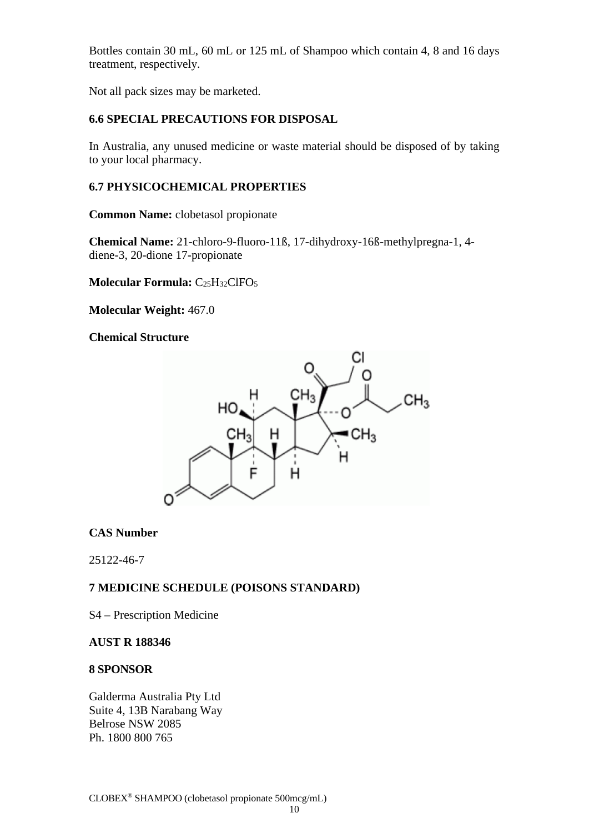Bottles contain 30 mL, 60 mL or 125 mL of Shampoo which contain 4, 8 and 16 days treatment, respectively.

Not all pack sizes may be marketed.

## **6.6 SPECIAL PRECAUTIONS FOR DISPOSAL**

In Australia, any unused medicine or waste material should be disposed of by taking to your local pharmacy.

## **6.7 PHYSICOCHEMICAL PROPERTIES**

**Common Name:** clobetasol propionate

**Chemical Name:** 21-chloro-9-fluoro-11ß, 17-dihydroxy-16ß-methylpregna-1, 4 diene-3, 20-dione 17-propionate

**Molecular Formula:** C25H32ClFO5

**Molecular Weight:** 467.0

**Chemical Structure**



## **CAS Number**

25122-46-7

## **7 MEDICINE SCHEDULE (POISONS STANDARD)**

S4 – Prescription Medicine

### **AUST R 188346**

## **8 SPONSOR**

Galderma Australia Pty Ltd Suite 4, 13B Narabang Way Belrose NSW 2085 Ph. 1800 800 765